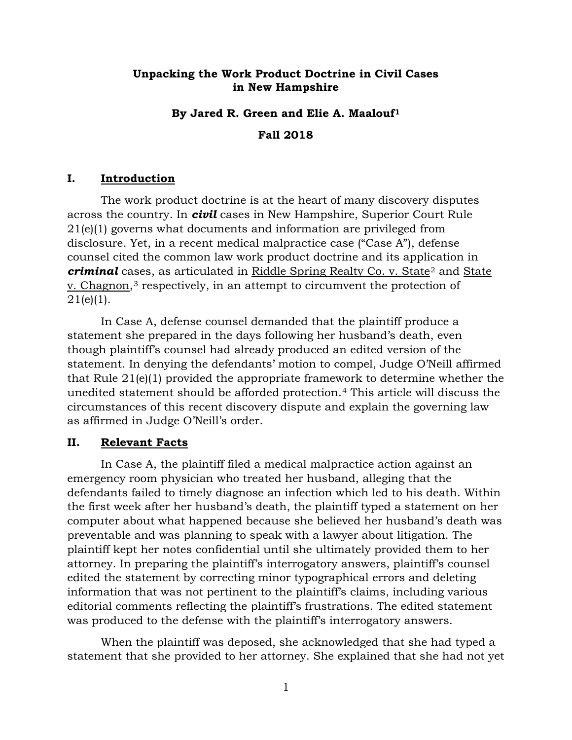## **Unpacking the Work Product Doctrine in Civil Cases in New Hampshire**

## **By Jared R. Green and Elie A. Maalouf[1](#page-6-0)**

**Fall 2018** 

## **I. Introduction**

The work product doctrine is at the heart of many discovery disputes across the country. In *civil* cases in New Hampshire, Superior Court Rule 21(e)(1) governs what documents and information are privileged from disclosure. Yet, in a recent medical malpractice case ("Case A"), defense counsel cited the common law work product doctrine and its application in *criminal* cases, as articulated in Riddle Spring Realty Co. v. State<sup>[2](#page-6-1)</sup> and State v. Chagnon,[3](#page-6-2) respectively, in an attempt to circumvent the protection of  $21(e)(1)$ .

In Case A, defense counsel demanded that the plaintiff produce a statement she prepared in the days following her husband's death, even though plaintiff's counsel had already produced an edited version of the statement. In denying the defendants' motion to compel, Judge O'Neill affirmed that Rule 21(e)(1) provided the appropriate framework to determine whether the unedited statement should be afforded protection.[4](#page-6-3) This article will discuss the circumstances of this recent discovery dispute and explain the governing law as affirmed in Judge O'Neill's order.

### **II. Relevant Facts**

In Case A, the plaintiff filed a medical malpractice action against an emergency room physician who treated her husband, alleging that the defendants failed to timely diagnose an infection which led to his death. Within the first week after her husband's death, the plaintiff typed a statement on her computer about what happened because she believed her husband's death was preventable and was planning to speak with a lawyer about litigation. The plaintiff kept her notes confidential until she ultimately provided them to her attorney. In preparing the plaintiff's interrogatory answers, plaintiff's counsel edited the statement by correcting minor typographical errors and deleting information that was not pertinent to the plaintiff's claims, including various editorial comments reflecting the plaintiff's frustrations. The edited statement was produced to the defense with the plaintiff's interrogatory answers.

When the plaintiff was deposed, she acknowledged that she had typed a statement that she provided to her attorney. She explained that she had not yet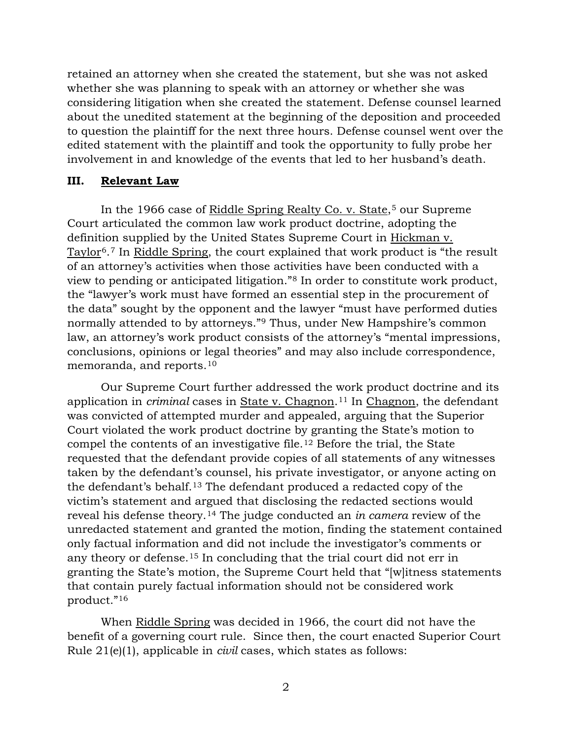retained an attorney when she created the statement, but she was not asked whether she was planning to speak with an attorney or whether she was considering litigation when she created the statement. Defense counsel learned about the unedited statement at the beginning of the deposition and proceeded to question the plaintiff for the next three hours. Defense counsel went over the edited statement with the plaintiff and took the opportunity to fully probe her involvement in and knowledge of the events that led to her husband's death.

### **III. Relevant Law**

In the 1966 case of Riddle Spring Realty Co. v. State,<sup>[5](#page-6-4)</sup> our Supreme Court articulated the common law work product doctrine, adopting the definition supplied by the United States Supreme Court in Hickman v. Taylor[6](#page-6-5). [7](#page-6-6) In Riddle Spring, the court explained that work product is "the result of an attorney's activities when those activities have been conducted with a view to pending or anticipated litigation."[8](#page-6-7) In order to constitute work product, the "lawyer's work must have formed an essential step in the procurement of the data" sought by the opponent and the lawyer "must have performed duties normally attended to by attorneys."[9](#page-6-8) Thus, under New Hampshire's common law, an attorney's work product consists of the attorney's "mental impressions, conclusions, opinions or legal theories" and may also include correspondence, memoranda, and reports.[10](#page-6-9)

Our Supreme Court further addressed the work product doctrine and its application in *criminal* cases in State v. Chagnon.[11](#page-6-10) In Chagnon, the defendant was convicted of attempted murder and appealed, arguing that the Superior Court violated the work product doctrine by granting the State's motion to compel the contents of an investigative file.[12](#page-6-11) Before the trial, the State requested that the defendant provide copies of all statements of any witnesses taken by the defendant's counsel, his private investigator, or anyone acting on the defendant's behalf.[13](#page-6-12) The defendant produced a redacted copy of the victim's statement and argued that disclosing the redacted sections would reveal his defense theory.[14](#page-6-13) The judge conducted an *in camera* review of the unredacted statement and granted the motion, finding the statement contained only factual information and did not include the investigator's comments or any theory or defense.[15](#page-6-14) In concluding that the trial court did not err in granting the State's motion, the Supreme Court held that "[w]itness statements that contain purely factual information should not be considered work product."[16](#page-6-15)

When Riddle Spring was decided in 1966, the court did not have the benefit of a governing court rule. Since then, the court enacted Superior Court Rule 21(e)(1), applicable in *civil* cases, which states as follows: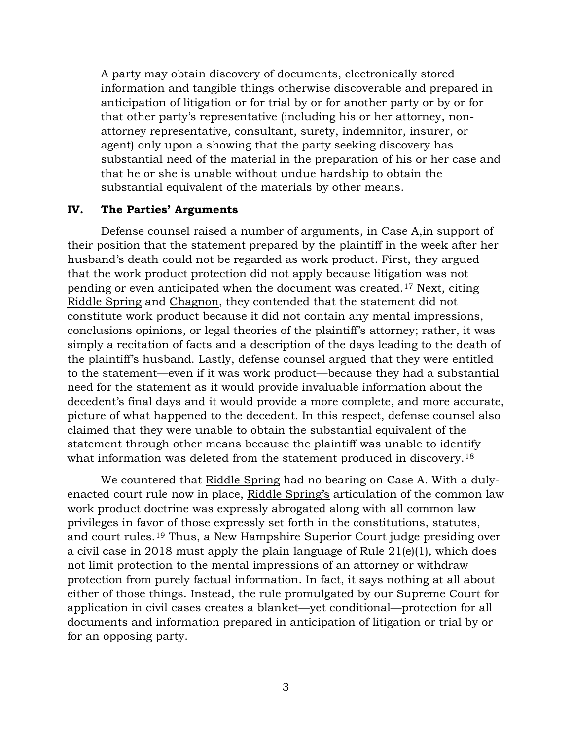A party may obtain discovery of documents, electronically stored information and tangible things otherwise discoverable and prepared in anticipation of litigation or for trial by or for another party or by or for that other party's representative (including his or her attorney, nonattorney representative, consultant, surety, indemnitor, insurer, or agent) only upon a showing that the party seeking discovery has substantial need of the material in the preparation of his or her case and that he or she is unable without undue hardship to obtain the substantial equivalent of the materials by other means.

#### **IV. The Parties' Arguments**

Defense counsel raised a number of arguments, in Case A,in support of their position that the statement prepared by the plaintiff in the week after her husband's death could not be regarded as work product. First, they argued that the work product protection did not apply because litigation was not pending or even anticipated when the document was created.[17](#page-6-16) Next, citing Riddle Spring and Chagnon, they contended that the statement did not constitute work product because it did not contain any mental impressions, conclusions opinions, or legal theories of the plaintiff's attorney; rather, it was simply a recitation of facts and a description of the days leading to the death of the plaintiff's husband. Lastly, defense counsel argued that they were entitled to the statement—even if it was work product—because they had a substantial need for the statement as it would provide invaluable information about the decedent's final days and it would provide a more complete, and more accurate, picture of what happened to the decedent. In this respect, defense counsel also claimed that they were unable to obtain the substantial equivalent of the statement through other means because the plaintiff was unable to identify what information was deleted from the statement produced in discovery.<sup>[18](#page-6-17)</sup>

 We countered that Riddle Spring had no bearing on Case A. With a dulyenacted court rule now in place, Riddle Spring's articulation of the common law work product doctrine was expressly abrogated along with all common law privileges in favor of those expressly set forth in the constitutions, statutes, and court rules.[19](#page-6-18) Thus, a New Hampshire Superior Court judge presiding over a civil case in 2018 must apply the plain language of Rule 21(e)(1), which does not limit protection to the mental impressions of an attorney or withdraw protection from purely factual information. In fact, it says nothing at all about either of those things. Instead, the rule promulgated by our Supreme Court for application in civil cases creates a blanket—yet conditional—protection for all documents and information prepared in anticipation of litigation or trial by or for an opposing party.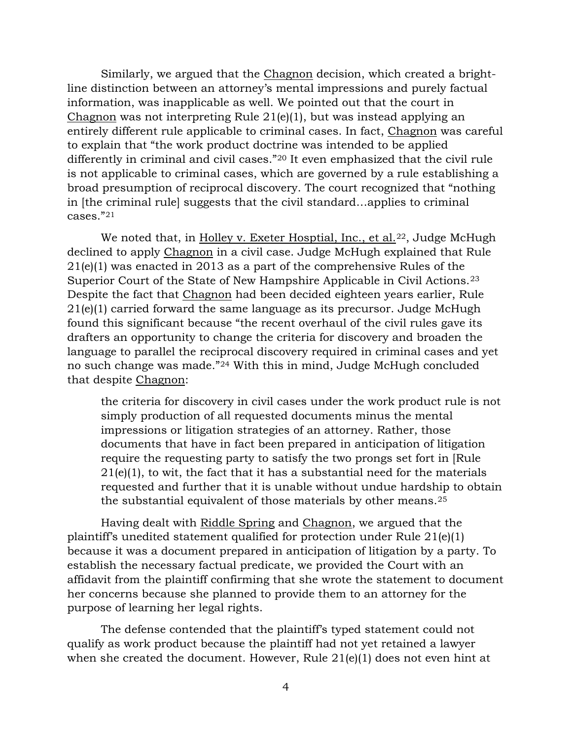Similarly, we argued that the Chagnon decision, which created a brightline distinction between an attorney's mental impressions and purely factual information, was inapplicable as well. We pointed out that the court in Chagnon was not interpreting Rule 21(e)(1), but was instead applying an entirely different rule applicable to criminal cases. In fact, Chagnon was careful to explain that "the work product doctrine was intended to be applied differently in criminal and civil cases."[20](#page-6-19) It even emphasized that the civil rule is not applicable to criminal cases, which are governed by a rule establishing a broad presumption of reciprocal discovery. The court recognized that "nothing in [the criminal rule] suggests that the civil standard…applies to criminal cases."[21](#page-6-20)

We noted that, in Holley v. Exeter Hosptial, Inc., et al.<sup>[22](#page-6-21)</sup>, Judge McHugh declined to apply Chagnon in a civil case. Judge McHugh explained that Rule 21(e)(1) was enacted in 2013 as a part of the comprehensive Rules of the Superior Court of the State of New Hampshire Applicable in Civil Actions.[23](#page-6-22) Despite the fact that Chagnon had been decided eighteen years earlier, Rule 21(e)(1) carried forward the same language as its precursor. Judge McHugh found this significant because "the recent overhaul of the civil rules gave its drafters an opportunity to change the criteria for discovery and broaden the language to parallel the reciprocal discovery required in criminal cases and yet no such change was made."[24](#page-6-23) With this in mind, Judge McHugh concluded that despite Chagnon:

the criteria for discovery in civil cases under the work product rule is not simply production of all requested documents minus the mental impressions or litigation strategies of an attorney. Rather, those documents that have in fact been prepared in anticipation of litigation require the requesting party to satisfy the two prongs set fort in [Rule  $21(e)(1)$ , to wit, the fact that it has a substantial need for the materials requested and further that it is unable without undue hardship to obtain the substantial equivalent of those materials by other means.[25](#page-6-24)

 Having dealt with Riddle Spring and Chagnon, we argued that the plaintiff's unedited statement qualified for protection under Rule 21(e)(1) because it was a document prepared in anticipation of litigation by a party. To establish the necessary factual predicate, we provided the Court with an affidavit from the plaintiff confirming that she wrote the statement to document her concerns because she planned to provide them to an attorney for the purpose of learning her legal rights.

 The defense contended that the plaintiff's typed statement could not qualify as work product because the plaintiff had not yet retained a lawyer when she created the document. However, Rule 21(e)(1) does not even hint at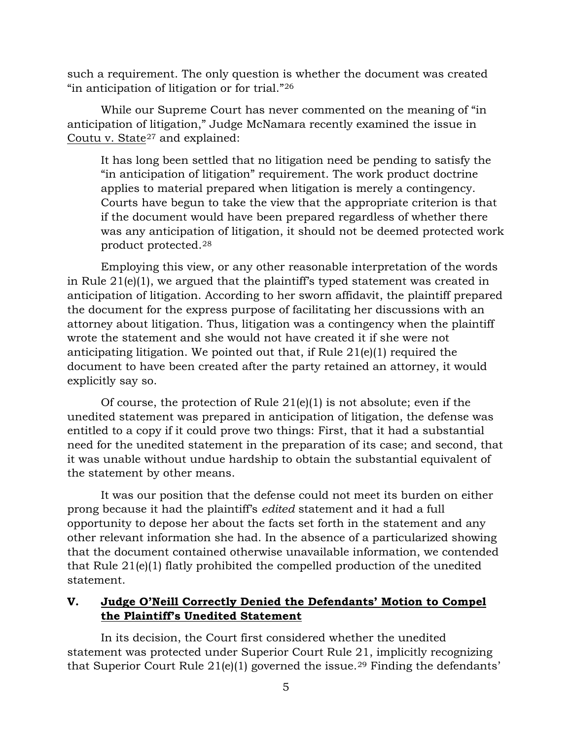such a requirement. The only question is whether the document was created "in anticipation of litigation or for trial."[26](#page-6-25)

 While our Supreme Court has never commented on the meaning of "in anticipation of litigation," Judge McNamara recently examined the issue in Coutu v. State<sup>[27](#page-7-0)</sup> and explained:

It has long been settled that no litigation need be pending to satisfy the "in anticipation of litigation" requirement. The work product doctrine applies to material prepared when litigation is merely a contingency. Courts have begun to take the view that the appropriate criterion is that if the document would have been prepared regardless of whether there was any anticipation of litigation, it should not be deemed protected work product protected.[28](#page-7-1)

 Employing this view, or any other reasonable interpretation of the words in Rule 21(e)(1), we argued that the plaintiff's typed statement was created in anticipation of litigation. According to her sworn affidavit, the plaintiff prepared the document for the express purpose of facilitating her discussions with an attorney about litigation. Thus, litigation was a contingency when the plaintiff wrote the statement and she would not have created it if she were not anticipating litigation. We pointed out that, if Rule  $21(e)(1)$  required the document to have been created after the party retained an attorney, it would explicitly say so.

Of course, the protection of Rule  $21(e)(1)$  is not absolute; even if the unedited statement was prepared in anticipation of litigation, the defense was entitled to a copy if it could prove two things: First, that it had a substantial need for the unedited statement in the preparation of its case; and second, that it was unable without undue hardship to obtain the substantial equivalent of the statement by other means.

 It was our position that the defense could not meet its burden on either prong because it had the plaintiff's *edited* statement and it had a full opportunity to depose her about the facts set forth in the statement and any other relevant information she had. In the absence of a particularized showing that the document contained otherwise unavailable information, we contended that Rule 21(e)(1) flatly prohibited the compelled production of the unedited statement.

# **V. Judge O'Neill Correctly Denied the Defendants' Motion to Compel the Plaintiff's Unedited Statement**

In its decision, the Court first considered whether the unedited statement was protected under Superior Court Rule 21, implicitly recognizing that Superior Court Rule  $21(e)(1)$  governed the issue.<sup>[29](#page-7-2)</sup> Finding the defendants'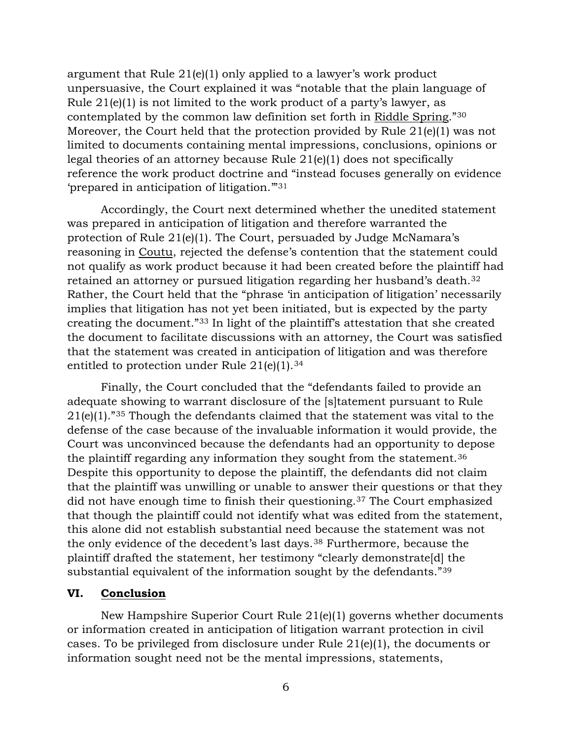argument that Rule 21(e)(1) only applied to a lawyer's work product unpersuasive, the Court explained it was "notable that the plain language of Rule  $21(e)(1)$  is not limited to the work product of a party's lawyer, as contemplated by the common law definition set forth in Riddle Spring."[30](#page-7-3) Moreover, the Court held that the protection provided by Rule 21(e)(1) was not limited to documents containing mental impressions, conclusions, opinions or legal theories of an attorney because Rule 21(e)(1) does not specifically reference the work product doctrine and "instead focuses generally on evidence 'prepared in anticipation of litigation.'"[31](#page-7-4)

Accordingly, the Court next determined whether the unedited statement was prepared in anticipation of litigation and therefore warranted the protection of Rule 21(e)(1). The Court, persuaded by Judge McNamara's reasoning in Coutu, rejected the defense's contention that the statement could not qualify as work product because it had been created before the plaintiff had retained an attorney or pursued litigation regarding her husband's death.[32](#page-7-5) Rather, the Court held that the "phrase 'in anticipation of litigation' necessarily implies that litigation has not yet been initiated, but is expected by the party creating the document."[33](#page-7-6) In light of the plaintiff's attestation that she created the document to facilitate discussions with an attorney, the Court was satisfied that the statement was created in anticipation of litigation and was therefore entitled to protection under Rule  $21(e)(1).^{34}$  $21(e)(1).^{34}$  $21(e)(1).^{34}$ 

Finally, the Court concluded that the "defendants failed to provide an adequate showing to warrant disclosure of the [s]tatement pursuant to Rule 21(e)(1)."[35](#page-7-8) Though the defendants claimed that the statement was vital to the defense of the case because of the invaluable information it would provide, the Court was unconvinced because the defendants had an opportunity to depose the plaintiff regarding any information they sought from the statement.[36](#page-7-9) Despite this opportunity to depose the plaintiff, the defendants did not claim that the plaintiff was unwilling or unable to answer their questions or that they did not have enough time to finish their questioning.[37](#page-7-10) The Court emphasized that though the plaintiff could not identify what was edited from the statement, this alone did not establish substantial need because the statement was not the only evidence of the decedent's last days.[38](#page-7-11) Furthermore, because the plaintiff drafted the statement, her testimony "clearly demonstrate[d] the substantial equivalent of the information sought by the defendants."[39](#page-7-12)

## **VI. Conclusion**

New Hampshire Superior Court Rule 21(e)(1) governs whether documents or information created in anticipation of litigation warrant protection in civil cases. To be privileged from disclosure under Rule 21(e)(1), the documents or information sought need not be the mental impressions, statements,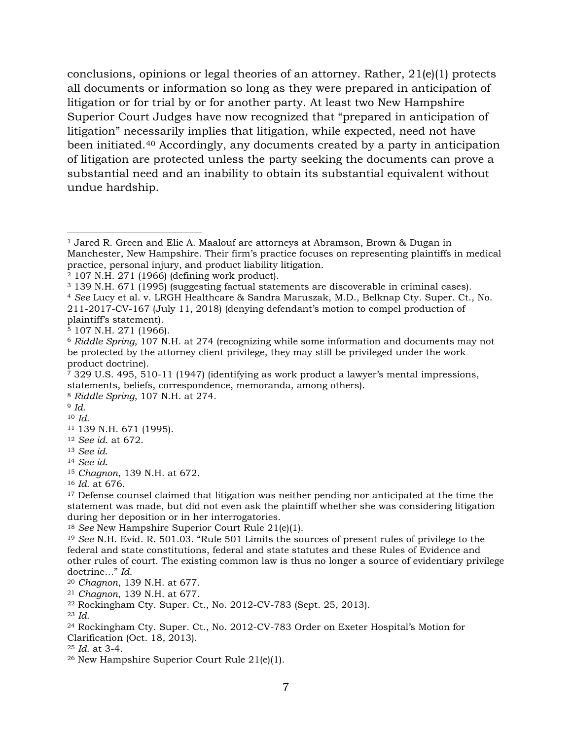conclusions, opinions or legal theories of an attorney. Rather, 21(e)(1) protects all documents or information so long as they were prepared in anticipation of litigation or for trial by or for another party. At least two New Hampshire Superior Court Judges have now recognized that "prepared in anticipation of litigation" necessarily implies that litigation, while expected, need not have been initiated.[40](#page-7-13) Accordingly, any documents created by a party in anticipation of litigation are protected unless the party seeking the documents can prove a substantial need and an inability to obtain its substantial equivalent without undue hardship.

<span id="page-6-4"></span><sup>5</sup> 107 N.H. 271 (1966).

<span id="page-6-9"></span><span id="page-6-8"></span><sup>9</sup> *Id*. <sup>10</sup> *Id*.

<span id="page-6-17"></span><sup>18</sup> *See* New Hampshire Superior Court Rule 21(e)(1).

<span id="page-6-18"></span><sup>19</sup> *See* N.H. Evid. R. 501.03. "Rule 501 Limits the sources of present rules of privilege to the federal and state constitutions, federal and state statutes and these Rules of Evidence and other rules of court. The existing common law is thus no longer a source of evidentiary privilege doctrine…" *Id*.

<span id="page-6-19"></span><sup>20</sup> *Chagnon*, 139 N.H. at 677.

<span id="page-6-20"></span><sup>21</sup> *Chagnon*, 139 N.H. at 677.

<span id="page-6-21"></span><sup>22</sup> Rockingham Cty. Super. Ct., No. 2012-CV-783 (Sept. 25, 2013).

<span id="page-6-22"></span><sup>23</sup> *Id*.

<span id="page-6-23"></span><sup>24</sup> Rockingham Cty. Super. Ct., No. 2012-CV-783 Order on Exeter Hospital's Motion for Clarification (Oct. 18, 2013).

<span id="page-6-24"></span><sup>25</sup> *Id*. at 3-4.

<span id="page-6-25"></span><sup>26</sup> New Hampshire Superior Court Rule 21(e)(1).

<span id="page-6-0"></span><sup>&</sup>lt;sup>1</sup> Jared R. Green and Elie A. Maalouf are attorneys at Abramson, Brown & Dugan in Manchester, New Hampshire. Their firm's practice focuses on representing plaintiffs in medical practice, personal injury, and product liability litigation.

<span id="page-6-1"></span><sup>2</sup> 107 N.H. 271 (1966) (defining work product).

<span id="page-6-2"></span><sup>3</sup> 139 N.H. 671 (1995) (suggesting factual statements are discoverable in criminal cases).

<span id="page-6-3"></span><sup>4</sup> *See* Lucy et al. v. LRGH Healthcare & Sandra Maruszak, M.D., Belknap Cty. Super. Ct., No. 211-2017-CV-167 (July 11, 2018) (denying defendant's motion to compel production of plaintiff's statement).

<span id="page-6-5"></span><sup>6</sup> *Riddle Spring*, 107 N.H. at 274 (recognizing while some information and documents may not be protected by the attorney client privilege, they may still be privileged under the work product doctrine).

<span id="page-6-6"></span><sup>7</sup> 329 U.S. 495, 510-11 (1947) (identifying as work product a lawyer's mental impressions, statements, beliefs, correspondence, memoranda, among others).

<span id="page-6-7"></span><sup>8</sup> *Riddle Spring*, 107 N.H. at 274.

<span id="page-6-10"></span><sup>11</sup> 139 N.H. 671 (1995).

<span id="page-6-11"></span><sup>12</sup> *See id*. at 672.

<span id="page-6-12"></span><sup>13</sup> *See id*.

<span id="page-6-13"></span><sup>14</sup> *See id*.

<span id="page-6-14"></span><sup>15</sup> *Chagnon*, 139 N.H. at 672.

<span id="page-6-15"></span><sup>16</sup> *Id*. at 676.

<span id="page-6-16"></span><sup>&</sup>lt;sup>17</sup> Defense counsel claimed that litigation was neither pending nor anticipated at the time the statement was made, but did not even ask the plaintiff whether she was considering litigation during her deposition or in her interrogatories.